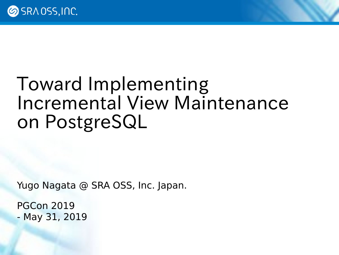### Toward Implementing Incremental View Maintenance on PostgreSQL

Yugo Nagata @ SRA OSS, Inc. Japan.

PGCon 2019 - May 31, 2019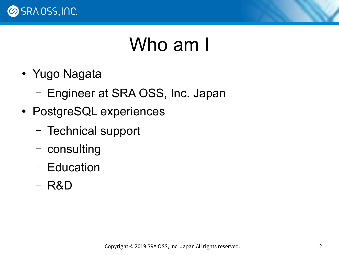

#### Who am I

- Yugo Nagata
	- Engineer at SRA OSS, Inc. Japan
- PostgreSQL experiences
	- Technical support
	- consulting
	- Education
	- R&D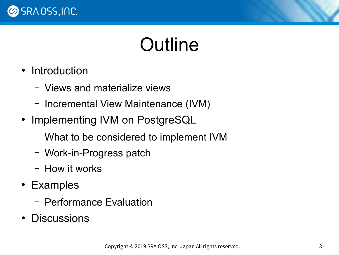

## Outline

- Introduction
	- Views and materialize views
	- Incremental View Maintenance (IVM)
- Implementing IVM on PostgreSQL
	- What to be considered to implement IVM
	- Work-in-Progress patch
	- How it works
- Examples
	- Performance Evaluation
- Discussions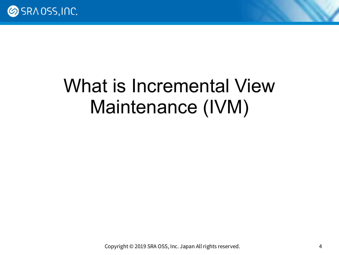

## What is Incremental View Maintenance (IVM)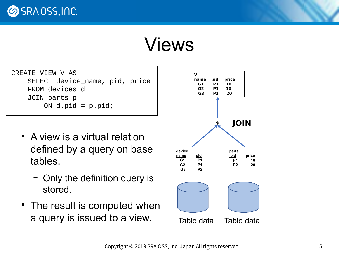**SRAOSS, INC.** 

#### Views

| CREATE VIEW V AS               |
|--------------------------------|
| SELECT device_name, pid, price |
| FROM devices d                 |
| JOIN parts p                   |
| ON $d.pid = p.pid$ ;           |

- A view is a virtual relation defined by a query on base tables.
	- Only the definition query is stored.
- The result is computed when a query is issued to a view. Table data Table data

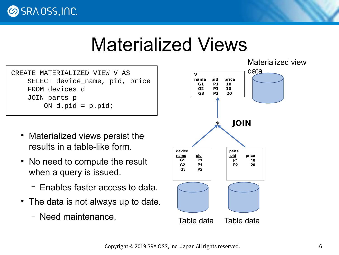**SRAOSS, INC.** 

#### Materialized Views

CREATE MATERIALIZED VIEW V AS SELECT device\_name, pid, price FROM devices d JOIN parts p ON  $d$ .pid =  $p$ .pid;

- Materialized views persist the results in a table-like form.
- No need to compute the result when a query is issued.
	- Enables faster access to data.
- The data is not always up to date.
	- Need maintenance.

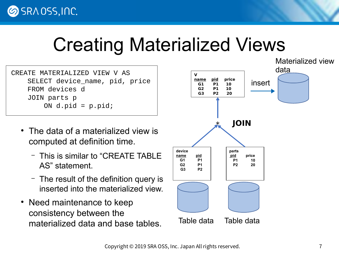## Creating Materialized Views

CREATE MATERIALIZED VIEW V AS SELECT device\_name, pid, price FROM devices d JOIN parts p ON  $d$ .pid =  $p$ .pid;

- The data of a materialized view is computed at definition time.
	- This is similar to "CREATE TABLE AS" statement.
	- The result of the definition query is inserted into the materialized view.
- Need maintenance to keep consistency between the materialized data and base tables.

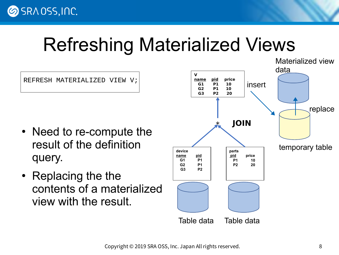## Refreshing Materialized Views

REFRESH MATERIALIZED VIEW V;

- Need to re-compute the result of the definition query.
- Replacing the the contents of a materialized view with the result.

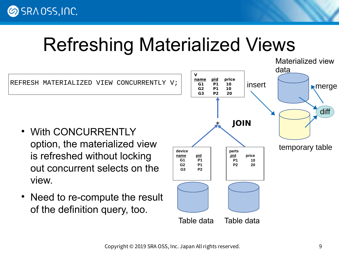## Refreshing Materialized Views



Copyright © 2019 SRA OSS, Inc. Japan All rights reserved. 9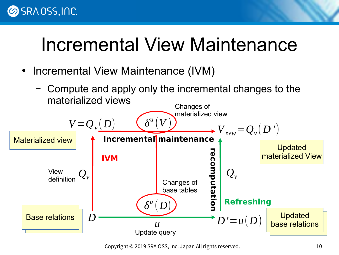#### **SRAOSS, INC.**

## Incremental View Maintenance

- Incremental View Maintenance (IVM)
	- Compute and apply only the incremental changes to the materialized views



Copyright © 2019 SRA OSS, Inc. Japan All rights reserved. 10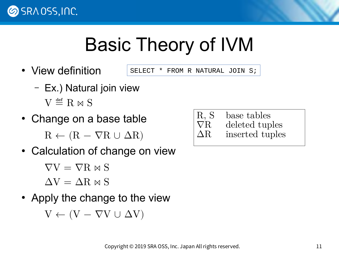

## Basic Theory of IVM

• View definition

SELECT \* FROM R NATURAL JOIN S;

- Ex.) Natural join view  $V \stackrel{\text{def}}{=} R \bowtie S$
- Change on a base table

 $R \leftarrow (R - \nabla R \cup \Delta R)$ 

• Calculation of change on view

 $\nabla V = \nabla R \Join S$ 

 $\Delta V = \Delta R \Join S$ 

• Apply the change to the view

 $V \leftarrow (V - \nabla V \cup \Delta V)$ 

R, S base tables  $\nabla R$  deleted tuples<br> $\Delta R$  inserted tuples inserted tuples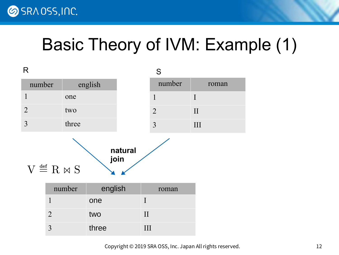

#### Basic Theory of IVM: Example (1)

| R                                                                 |                |         |             | S              |              |
|-------------------------------------------------------------------|----------------|---------|-------------|----------------|--------------|
| number                                                            | english        |         |             | number         | roman        |
| $\mathbf{1}$                                                      | one            |         |             | $\mathbf{1}$   | $\mathbf{I}$ |
| $\overline{2}$                                                    | two            |         |             | $\overline{2}$ | $\prod$      |
| $\overline{3}$                                                    | three          |         |             | 3              | III          |
| natural<br>join<br>$V \stackrel{\text{\tiny def}}{=} R \bowtie S$ |                |         |             |                |              |
|                                                                   | number         | english |             | roman          |              |
|                                                                   | $\mathbf{1}$   | one     | $\mathbf I$ |                |              |
|                                                                   | $\overline{2}$ | two     | $\prod$     |                |              |
|                                                                   | $\overline{3}$ | three   | III         |                |              |

Copyright © 2019 SRA OSS, Inc. Japan All rights reserved. 12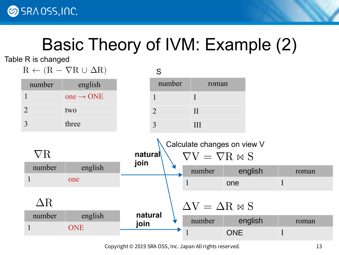

### Basic Theory of IVM: Example (2)

Table R is changed



Copyright © 2019 SRA OSS, Inc. Japan All rights reserved. 13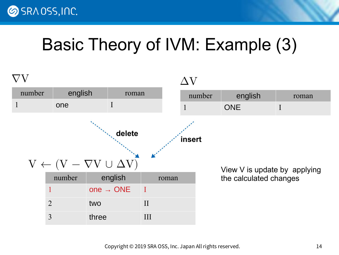

#### Basic Theory of IVM: Example (3)

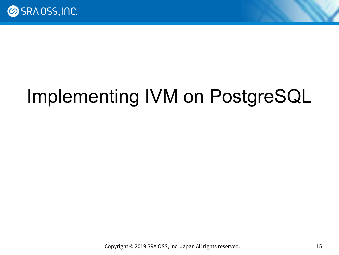

## Implementing IVM on PostgreSQL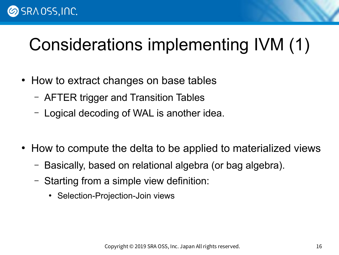#### **SRAOSS, INC.**

### Considerations implementing IVM (1)

- How to extract changes on base tables
	- AFTER trigger and Transition Tables
	- Logical decoding of WAL is another idea.
- How to compute the delta to be applied to materialized views
	- Basically, based on relational algebra (or bag algebra).
	- Starting from a simple view definition:
		- Selection-Projection-Join views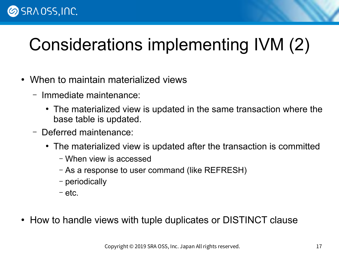#### **SRAOSS, INC.**

## Considerations implementing IVM (2)

- When to maintain materialized views
	- Immediate maintenance:
		- The materialized view is updated in the same transaction where the base table is updated.
	- Deferred maintenance:
		- The materialized view is updated after the transaction is committed
			- When view is accessed
			- As a response to user command (like REFRESH)
			- periodically
			- etc.
- How to handle views with tuple duplicates or DISTINCT clause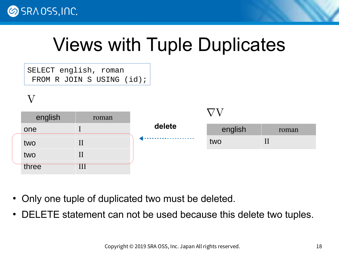

## Views with Tuple Duplicates

SELECT english, roman FROM R JOIN S USING (id);

V

| english | roman |        |         |       |
|---------|-------|--------|---------|-------|
| one     |       | delete | english | roman |
| two     |       |        | two     | П     |
| two     | п     |        |         |       |
| three   |       |        |         |       |

- Only one tuple of duplicated two must be deleted.
- DELETE statement can not be used because this delete two tuples.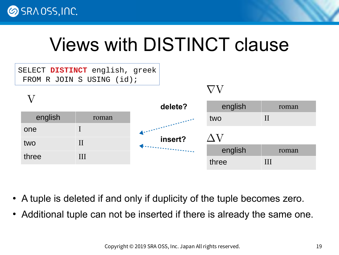## Views with DISTINCT clause

|         | SELECT DISTINCT english, greek<br>FROM R JOIN S USING (id); |         |         |         |
|---------|-------------------------------------------------------------|---------|---------|---------|
|         |                                                             |         |         |         |
|         |                                                             | delete? | english | roman   |
| english | roman                                                       |         | two     | $\prod$ |
| one     |                                                             |         |         |         |
| two     | $\prod$                                                     | insert? | ΛV      |         |
| three   | III                                                         |         | english | roman   |
|         |                                                             |         | three   | III     |

- A tuple is deleted if and only if duplicity of the tuple becomes zero.
- Additional tuple can not be inserted if there is already the same one.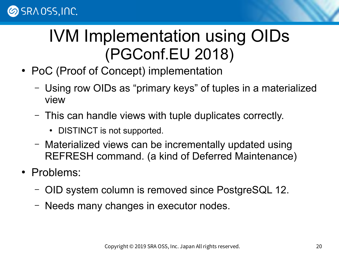#### IVM Implementation using OIDs (PGConf.EU 2018)

- PoC (Proof of Concept) implementation
	- Using row OIDs as "primary keys" of tuples in a materialized view
	- This can handle views with tuple duplicates correctly.
		- DISTINCT is not supported.
	- Materialized views can be incrementally updated using REFRESH command. (a kind of Deferred Maintenance)
- Problems:
	- OID system column is removed since PostgreSQL 12.
	- Needs many changes in executor nodes.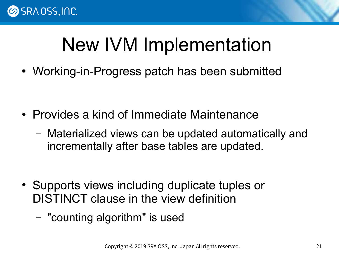

## New IVM Implementation

• Working-in-Progress patch has been submitted

- Provides a kind of Immediate Maintenance
	- Materialized views can be updated automatically and incrementally after base tables are updated.

- Supports views including duplicate tuples or DISTINCT clause in the view definition
	- "counting algorithm" is used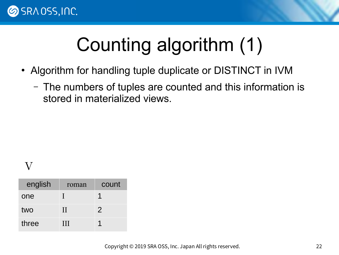

# Counting algorithm (1)

- Algorithm for handling tuple duplicate or DISTINCT in IVM
	- The numbers of tuples are counted and this information is stored in materialized views.

#### V

| english | roman   | count         |
|---------|---------|---------------|
| one     |         |               |
| two     | $\rm H$ | $\mathcal{P}$ |
| three   | Ш       |               |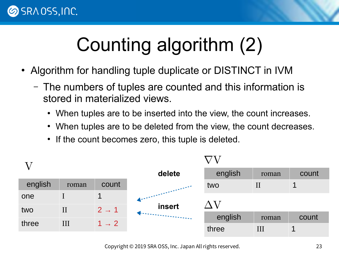

# Counting algorithm (2)

- Algorithm for handling tuple duplicate or DISTINCT in IVM
	- The numbers of tuples are counted and this information is stored in materialized views.
		- When tuples are to be inserted into the view, the count increases.
		- When tuples are to be deleted from the view, the count decreases.
		- If the count becomes zero, this tuple is deleted.

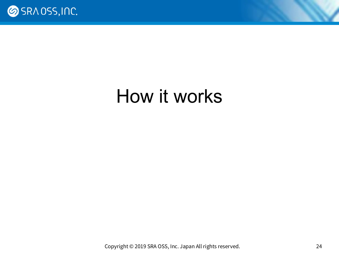

### How it works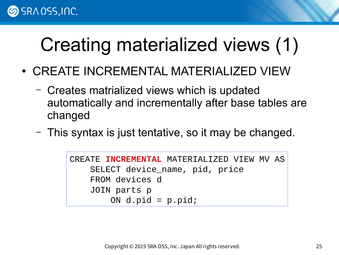## Creating materialized views (1)

- CREATE INCREMENTAL MATERIALIZED VIEW
	- Creates matrialized views which is updated automatically and incrementally after base tables are changed
	- This syntax is just tentative, so it may be changed.

```
CREATE INCREMENTAL MATERIALIZED VIEW MV AS
     SELECT device_name, pid, price
     FROM devices d
     JOIN parts p
        ON d.pid = p.pid;
```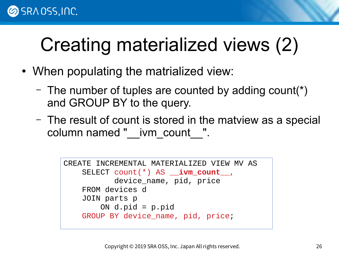## Creating materialized views (2)

- When populating the matrialized view:
	- The number of tuples are counted by adding count(\*) and GROUP BY to the query.
	- The result of count is stored in the matview as a special column named " \_ivm\_count \_\_".

```
CREATE INCREMENTAL MATERIALIZED VIEW MV AS
     SELECT count(*) AS __ivm_count__,
            device_name, pid, price
     FROM devices d
     JOIN parts p
        ON d.pid = p.pid
     GROUP BY device_name, pid, price;
```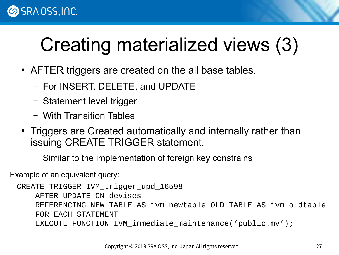## Creating materialized views (3)

- AFTER triggers are created on the all base tables.
	- For INSERT, DELETE, and UPDATE
	- Statement level trigger
	- With Transition Tables
- Triggers are Created automatically and internally rather than issuing CREATE TRIGGER statement.
	- Similar to the implementation of foreign key constrains

Example of an equivalent query:

```
CREATE TRIGGER IVM trigger upd 16598
     AFTER UPDATE ON devises
     REFERENCING NEW TABLE AS ivm_newtable OLD TABLE AS ivm_oldtable
     FOR EACH STATEMENT
     EXECUTE FUNCTION IVM_immediate_maintenance('public.mv');
```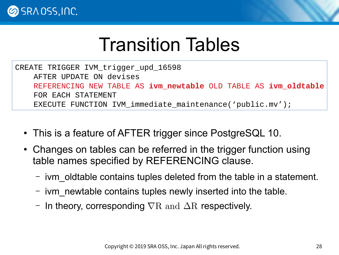

### Transition Tables

CREATE TRIGGER IVM trigger upd 16598 AFTER UPDATE ON devises REFERENCING NEW TABLE AS **ivm\_newtable** OLD TABLE AS **ivm\_oldtable** FOR EACH STATEMENT EXECUTE FUNCTION IVM\_immediate\_maintenance('public.mv');

- This is a feature of AFTER trigger since PostgreSQL 10.
- Changes on tables can be referred in the trigger function using table names specified by REFERENCING clause.
	- ivm oldtable contains tuples deleted from the table in a statement.
	- ivm\_newtable contains tuples newly inserted into the table.
	- In theory, corresponding  $\nabla R$  and  $\Delta R$  respectively.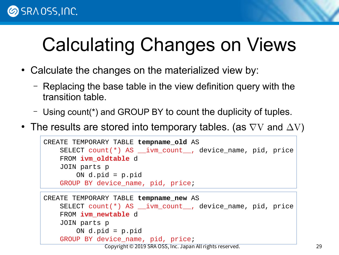#### **SRAOSS, INC.**

# Calculating Changes on Views

- Calculate the changes on the materialized view by:
	- Replacing the base table in the view definition query with the transition table.
	- Using count(\*) and GROUP BY to count the duplicity of tuples.
- The results are stored into temporary tables. (as  $\nabla V$  and  $\Delta V$ )

```
CREATE TEMPORARY TABLE tempname_old AS
     SELECT count(*) AS __ivm_count__, device_name, pid, price
     FROM ivm_oldtable d
     JOIN parts p
        ON d.pid = p.pid
    GROUP BY device name, pid, price;
```

```
Copyright © 2019 SRA OSS, Inc. Japan All rights reserved. 29
CREATE TEMPORARY TABLE tempname_new AS
     SELECT count(*) AS __ivm_count__, device_name, pid, price
     FROM ivm_newtable d
     JOIN parts p
        ON d.pid = p.pid
    GROUP BY device name, pid, price;
```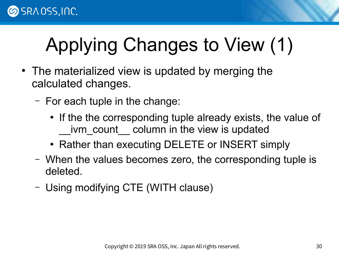# Applying Changes to View (1)

- The materialized view is updated by merging the calculated changes.
	- For each tuple in the change:
		- If the the corresponding tuple already exists, the value of ivm count column in the view is updated
		- Rather than executing DELETE or INSERT simply
	- When the values becomes zero, the corresponding tuple is deleted.
	- Using modifying CTE (WITH clause)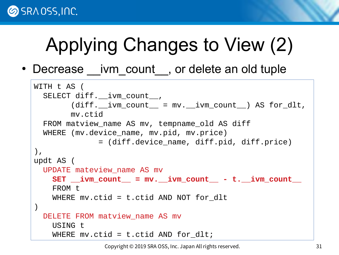# Applying Changes to View (2)

• Decrease ivm count, or delete an old tuple

```
WITH t AS (
  SELECT diff. ivm count,
        (diff. \text{ivm_count} = mv. \text{ivm_count}) AS for dlt,
         mv.ctid
   FROM matview_name AS mv, tempname_old AS diff
   WHERE (mv.device_name, mv.pid, mv.price)
               = (diff.device_name, diff.pid, diff.price)
),
updt AS (
   UPDATE mateview_name AS mv
     SET __ivm_count__ = mv.__ivm_count__ - t.__ivm_count__
     FROM t
    WHERE mv.ctid = t.ctid AND NOT for dlt
)
  DELETE FROM matview name AS mv
     USING t 
    WHERE mv.ctid = t.ctid AND for dlt;
```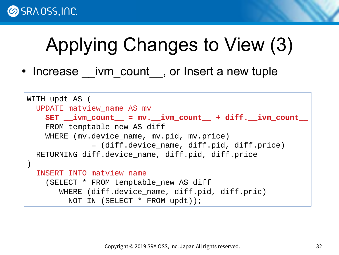

## Applying Changes to View (3)

• Increase \_\_ivm\_count, or Insert a new tuple

```
WITH updt AS (
   UPDATE matview_name AS mv
     SET __ivm_count__ = mv.__ivm_count__ + diff.__ivm_count__
    FROM temptable new AS diff
     WHERE (mv.device_name, mv.pid, mv.price)
               = (diff.device_name, diff.pid, diff.price)
   RETURNING diff.device_name, diff.pid, diff.price
)
   INSERT INTO matview_name
     (SELECT * FROM temptable_new AS diff 
        WHERE (diff.device_name, diff.pid, diff.pric)
          NOT IN (SELECT * FROM updt));
```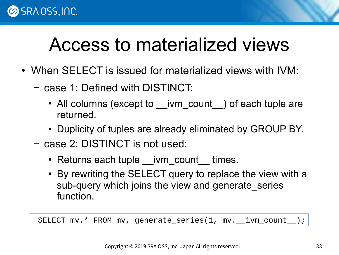## Access to materialized views

- When SELECT is issued for materialized views with IVM:
	- case 1: Defined with DISTINCT:
		- All columns (except to \_\_ivm\_count ) of each tuple are returned.
		- Duplicity of tuples are already eliminated by GROUP BY.
	- case 2: DISTINCT is not used:
		- Returns each tuple \_\_ivm\_count \_\_ times.
		- By rewriting the SELECT query to replace the view with a sub-query which joins the view and generate series function.

SELECT mv.\* FROM mv, generate\_series(1, mv.\_\_ivm\_count\_\_);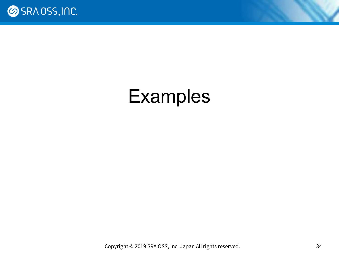

### Examples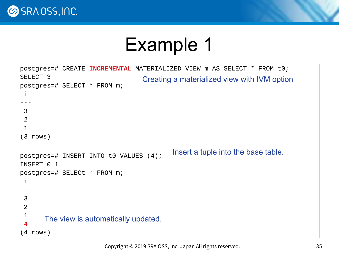

## Example 1

```
postgres=# CREATE INCREMENTAL MATERIALIZED VIEW m AS SELECT * FROM t0;
SELECT 3
postgres=# SELECT * FROM m;
 i 
---
 3
 2
 1
(3 rows)
postgres=# INSERT INTO t0 VALUES (4);
INSERT 0 1
postgres=# SELECt * FROM m;
 i 
---
 3
 2
 1
 4
(4 rows)
                                           Insert a tuple into the base table.
                                   Creating a materialized view with IVM option
      The view is automatically updated.
```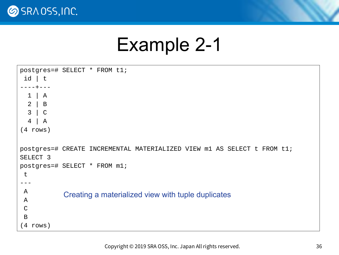

#### Example 2-1

```
postgres=# SELECT * FROM t1;
 id | t 
----+---
   1 | A
   2 | B
   3 | C
   4 | A
(4 rows)
postgres=# CREATE INCREMENTAL MATERIALIZED VIEW m1 AS SELECT t FROM t1;
SELECT<sub>3</sub>
postgres=# SELECT * FROM m1;
 t 
---
 A
 A
 C
 B
(4 rows)
            Creating a materialized view with tuple duplicates
```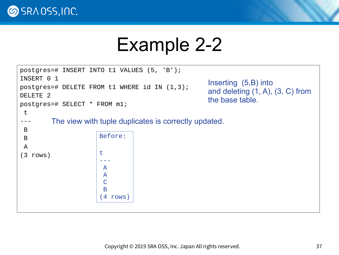

## Example 2-2

```
postgres=# INSERT INTO t1 VALUES (5, 'B');
INSERT 0 1
postgres=# DELETE FROM t1 WHERE id IN (1,3);
DELETE 2
postgres=# SELECT * FROM m1;
 t 
---
 B
 B
 A
(3 rows)
                       Before:
                       t 
                       ---
                        A
                        A
                        C
                        B
                       (4 rows)
         The view with tuple duplicates is correctly updated.
                                                       Inserting (5,B) into
                                                       and deleting (1, A), (3, C) from
                                                      the base table.
```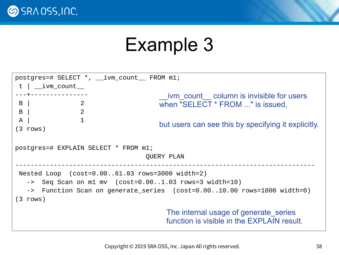

## Example 3

| $postgress = # SELECT *$ , $\_ivm_count$ FROM $m1$ ;                   |                                                     |  |  |  |
|------------------------------------------------------------------------|-----------------------------------------------------|--|--|--|
| $t$   $_{i}$ ivm_count $_{i}$                                          |                                                     |  |  |  |
| - - - <del>+</del> - - - - - - - - - - - - - - -                       | ivm count column is invisible for users             |  |  |  |
| B  <br>$\overline{2}$                                                  | when "SELECT * FROM " is issued,                    |  |  |  |
| $\overline{\mathbf{2}}$<br>$B \mid$                                    |                                                     |  |  |  |
| $\overline{1}$<br>$\mathsf{A}$                                         |                                                     |  |  |  |
| $(3 \text{ rows})$                                                     | but users can see this by specifying it explicitly. |  |  |  |
| postgres=# EXPLAIN SELECT * FROM m1;<br>QUERY PLAN                     |                                                     |  |  |  |
| Nested Loop $(cost=0.0061.03 rows=3000 width=2)$                       |                                                     |  |  |  |
| $\text{->}$ Seq Scan on m1 mv (cost=0.001.03 rows=3 width=10)          |                                                     |  |  |  |
| -> Function Scan on generate_series (cost=0.0010.00 rows=1000 width=0) |                                                     |  |  |  |
| $(3 \text{ rows})$                                                     |                                                     |  |  |  |
|                                                                        | The internal usage of generate series               |  |  |  |
|                                                                        | function is visible in the EXPLAIN result.          |  |  |  |
|                                                                        |                                                     |  |  |  |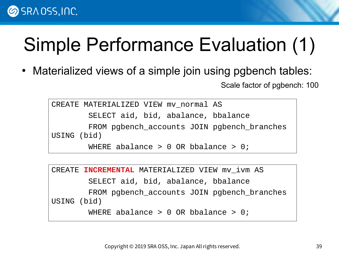#### **SRAOSS, INC.**

# Simple Performance Evaluation (1)

• Materialized views of a simple join using pgbench tables: Scale factor of pgbench: 100

```
CREATE MATERIALIZED VIEW mv normal AS
         SELECT aid, bid, abalance, bbalance
         FROM pgbench_accounts JOIN pgbench_branches 
USING (bid)
        WHERE abalance > 0 OR bbalance > 0;
```

```
CREATE INCREMENTAL MATERIALIZED VIEW mv_ivm AS
         SELECT aid, bid, abalance, bbalance
         FROM pgbench_accounts JOIN pgbench_branches 
USING (bid)
        WHERE abalance > 0 OR bbalance > 0;
```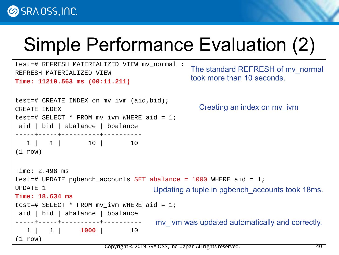## Simple Performance Evaluation (2)

```
test=# REFRESH MATERIALIZED VIEW mv_normal ;
REFRESH MATERIALIZED VIEW
Time: 11210.563 ms (00:11.211)
test=# CREATE INDEX on mv_ivm (aid,bid);
CREATE INDEX
test=# SELECT * FROM mv ivm WHERE aid = 1;
 aid | bid | abalance | bbalance 
-----+-----+----------+----------
  1 | 1 | 10 | 10
(1 row)Time: 2.498 ms
test=# UPDATE pgbench_accounts SET abalance = 1000 WHERE aid = 1;
UPDATE 1
Time: 18.634 ms
test=# SELECT * FROM mv ivm WHERE aid = 1;
 aid | bid | abalance | bbalance 
-----+-----+----------+----------
   1 | 1 | 1000 | 10
(1 row)Creating an index on mv_ivm
                                             The standard REFRESH of mv_normal 
                                             took more than 10 seconds.
                                   Updating a tuple in pgbench accounts took 18ms.
                                    mv_ivm was updated automatically and correctly.
```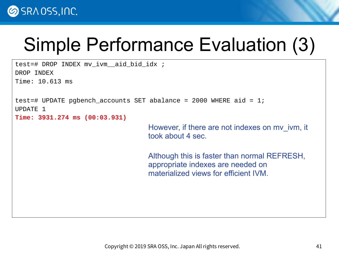## Simple Performance Evaluation (3)

test=# DROP INDEX mv ivm aid bid idx ; DROP INDEX Time: 10.613 ms

```
test=# UPDATE pgbench_accounts SET abalance = 2000 WHERE aid = 1;
UPDATE 1
```
**Time: 3931.274 ms (00:03.931)**

However, if there are not indexes on mv\_ivm, it took about 4 sec.

Although this is faster than normal REFRESH, appropriate indexes are needed on materialized views for efficient IVM.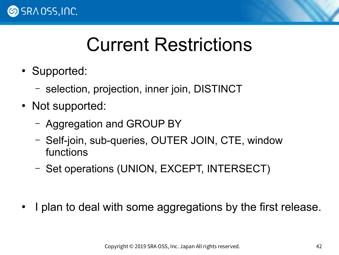

## Current Restrictions

- Supported:
	- selection, projection, inner join, DISTINCT
- Not supported:
	- Aggregation and GROUP BY
	- Self-join, sub-queries, OUTER JOIN, CTE, window functions
	- Set operations (UNION, EXCEPT, INTERSECT)

I plan to deal with some aggregations by the first release.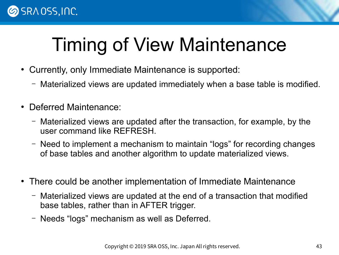# Timing of View Maintenance

- Currently, only Immediate Maintenance is supported:
	- Materialized views are updated immediately when a base table is modified.
- **Deferred Maintenance:** 
	- Materialized views are updated after the transaction, for example, by the user command like REFRESH.
	- Need to implement a mechanism to maintain "logs" for recording changes of base tables and another algorithm to update materialized views.
- There could be another implementation of Immediate Maintenance
	- Materialized views are updated at the end of a transaction that modified base tables, rather than in AFTER trigger.
	- Needs "logs" mechanism as well as Deferred.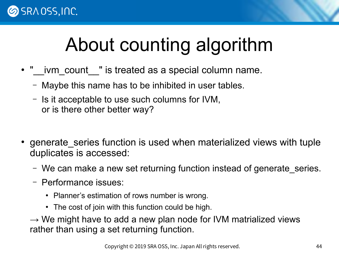## About counting algorithm

- "\_\_ivm\_count\_" is treated as a special column name.
	- Maybe this name has to be inhibited in user tables.
	- Is it acceptable to use such columns for IVM, or is there other better way?
- generate series function is used when materialized views with tuple duplicates is accessed:
	- We can make a new set returning function instead of generate series.
	- Performance issues:
		- Planner's estimation of rows number is wrong.
		- The cost of join with this function could be high.

 $\rightarrow$  We might have to add a new plan node for IVM matrialized views rather than using a set returning function.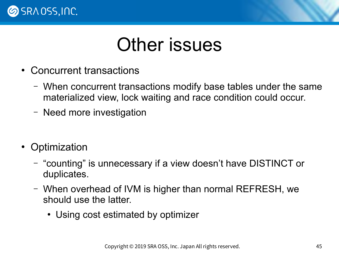

#### Other issues

- Concurrent transactions
	- When concurrent transactions modify base tables under the same materialized view, lock waiting and race condition could occur.
	- Need more investigation
- Optimization
	- "counting" is unnecessary if a view doesn't have DISTINCT or duplicates.
	- When overhead of IVM is higher than normal REFRESH, we should use the latter.
		- Using cost estimated by optimizer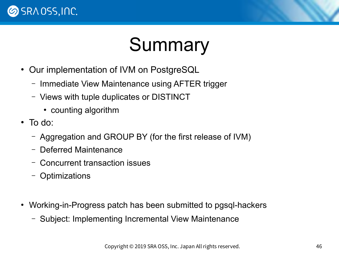

## Summary

- Our implementation of IVM on PostgreSQL
	- Immediate View Maintenance using AFTER trigger
	- Views with tuple duplicates or DISTINCT
		- counting algorithm
- $\bullet$  To do:
	- Aggregation and GROUP BY (for the first release of IVM)
	- Deferred Maintenance
	- Concurrent transaction issues
	- Optimizations
- Working-in-Progress patch has been submitted to pgsql-hackers
	- Subject: Implementing Incremental View Maintenance